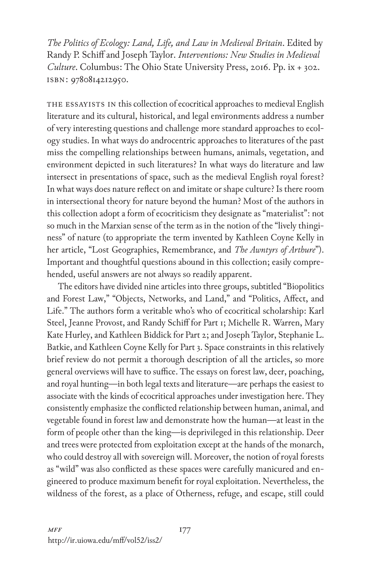*The Politics of Ecology: Land, Life, and Law in Medieval Britain*. Edited by Randy P. Schiff and Joseph Taylor. *Interventions: New Studies in Medieval Culture*. Columbus: The Ohio State University Press, 2016. Pp. ix + 302. isbn: 9780814212950.

THE ESSAYISTS IN this collection of ecocritical approaches to medieval English literature and its cultural, historical, and legal environments address a number of very interesting questions and challenge more standard approaches to ecology studies. In what ways do androcentric approaches to literatures of the past miss the compelling relationships between humans, animals, vegetation, and environment depicted in such literatures? In what ways do literature and law intersect in presentations of space, such as the medieval English royal forest? In what ways does nature reflect on and imitate or shape culture? Is there room in intersectional theory for nature beyond the human? Most of the authors in this collection adopt a form of ecocriticism they designate as "materialist": not so much in the Marxian sense of the term as in the notion of the "lively thinginess" of nature (to appropriate the term invented by Kathleen Coyne Kelly in her article, "Lost Geographies, Remembrance, and *The Awntyrs of Arthure*"). Important and thoughtful questions abound in this collection; easily comprehended, useful answers are not always so readily apparent.

The editors have divided nine articles into three groups, subtitled "Biopolitics and Forest Law," "Objects, Networks, and Land," and "Politics, Affect, and Life." The authors form a veritable who's who of ecocritical scholarship: Karl Steel, Jeanne Provost, and Randy Schiff for Part 1; Michelle R. Warren, Mary Kate Hurley, and Kathleen Biddick for Part 2; and Joseph Taylor, Stephanie L. Batkie, and Kathleen Coyne Kelly for Part 3. Space constraints in this relatively brief review do not permit a thorough description of all the articles, so more general overviews will have to suffice. The essays on forest law, deer, poaching, and royal hunting—in both legal texts and literature—are perhaps the easiest to associate with the kinds of ecocritical approaches under investigation here. They consistently emphasize the conflicted relationship between human, animal, and vegetable found in forest law and demonstrate how the human—at least in the form of people other than the king—is deprivileged in this relationship. Deer and trees were protected from exploitation except at the hands of the monarch, who could destroy all with sovereign will. Moreover, the notion of royal forests as "wild" was also conflicted as these spaces were carefully manicured and engineered to produce maximum benefit for royal exploitation. Nevertheless, the wildness of the forest, as a place of Otherness, refuge, and escape, still could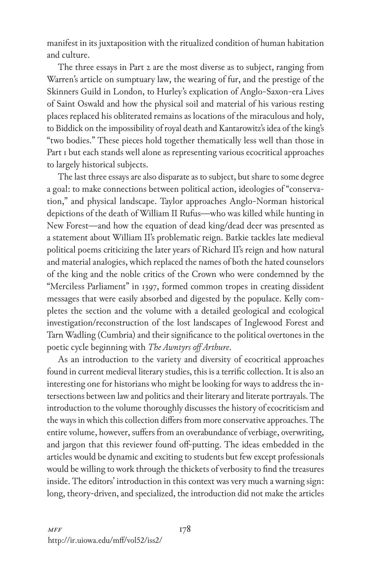manifest in its juxtaposition with the ritualized condition of human habitation and culture.

The three essays in Part 2 are the most diverse as to subject, ranging from Warren's article on sumptuary law, the wearing of fur, and the prestige of the Skinners Guild in London, to Hurley's explication of Anglo-Saxon-era Lives of Saint Oswald and how the physical soil and material of his various resting places replaced his obliterated remains as locations of the miraculous and holy, to Biddick on the impossibility of royal death and Kantarowitz's idea of the king's "two bodies." These pieces hold together thematically less well than those in Part 1 but each stands well alone as representing various ecocritical approaches to largely historical subjects.

The last three essays are also disparate as to subject, but share to some degree a goal: to make connections between political action, ideologies of "conservation," and physical landscape. Taylor approaches Anglo-Norman historical depictions of the death of William II Rufus—who was killed while hunting in New Forest—and how the equation of dead king/dead deer was presented as a statement about William II's problematic reign. Batkie tackles late medieval political poems criticizing the later years of Richard II's reign and how natural and material analogies, which replaced the names of both the hated counselors of the king and the noble critics of the Crown who were condemned by the "Merciless Parliament" in 1397, formed common tropes in creating dissident messages that were easily absorbed and digested by the populace. Kelly completes the section and the volume with a detailed geological and ecological investigation/reconstruction of the lost landscapes of Inglewood Forest and Tarn Wadling (Cumbria) and their significance to the political overtones in the poetic cycle beginning with *The Awntyrs off Arthure*.

As an introduction to the variety and diversity of ecocritical approaches found in current medieval literary studies, this is a terrific collection. It is also an interesting one for historians who might be looking for ways to address the intersections between law and politics and their literary and literate portrayals. The introduction to the volume thoroughly discusses the history of ecocriticism and the ways in which this collection differs from more conservative approaches. The entire volume, however, suffers from an overabundance of verbiage, overwriting, and jargon that this reviewer found off-putting. The ideas embedded in the articles would be dynamic and exciting to students but few except professionals would be willing to work through the thickets of verbosity to find the treasures inside. The editors' introduction in this context was very much a warning sign: long, theory-driven, and specialized, the introduction did not make the articles